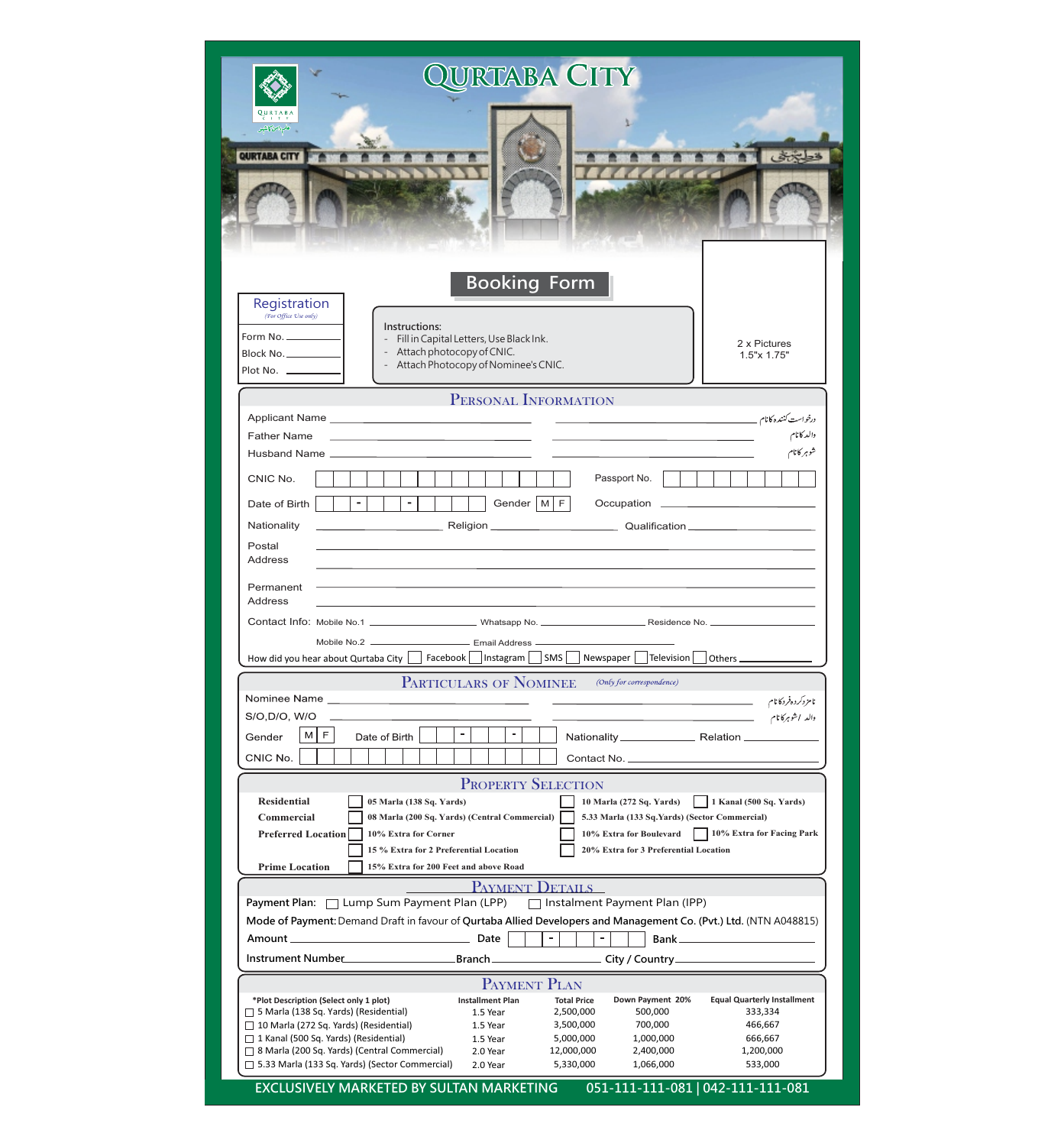| QURTABA CITY<br>هلم دامن كاشهر<br>QURTABA CITY                                                                                                                                                                                                                                                                                                                                                                                                                                                                                                                                                                                                                                                                                                                         |                                                                                                                                  |
|------------------------------------------------------------------------------------------------------------------------------------------------------------------------------------------------------------------------------------------------------------------------------------------------------------------------------------------------------------------------------------------------------------------------------------------------------------------------------------------------------------------------------------------------------------------------------------------------------------------------------------------------------------------------------------------------------------------------------------------------------------------------|----------------------------------------------------------------------------------------------------------------------------------|
| <b>Booking Form</b><br>Registration<br>(For Office Use only)<br>Instructions:<br>Form No. _________<br>Fill in Capital Letters, Use Black Ink.<br>Attach photocopy of CNIC.<br>Block No.<br>Attach Photocopy of Nominee's CNIC.<br>Plot No.                                                                                                                                                                                                                                                                                                                                                                                                                                                                                                                            | 2 x Pictures<br>1.5"x 1.75"                                                                                                      |
| PERSONAL INFORMATION                                                                                                                                                                                                                                                                                                                                                                                                                                                                                                                                                                                                                                                                                                                                                   |                                                                                                                                  |
| <b>Father Name</b><br><u> 1989 - Andrea Stadt, fransk politik (d. 1989)</u><br>Passport No.<br>CNIC No.<br>Gender $\vert M \vert F \vert$<br>Occupation<br>Date of Birth<br>Nationality<br>Postal<br>Address                                                                                                                                                                                                                                                                                                                                                                                                                                                                                                                                                           | درخواست كننده كانام<br>والدكانام<br>شوہر کانام<br>the contract of the contract of the contract of                                |
| Permanent<br>Address<br>and the control of the control of the control of the control of the control of the control of the control of the<br>Mobile No.2 __________________________________ Email Address __________<br>How did you hear about Qurtaba City     Facebook     Instagram     SMS    <br>Newspaper<br> Television                                                                                                                                                                                                                                                                                                                                                                                                                                          |                                                                                                                                  |
| <b>PARTICULARS OF NOMINEE</b><br>(Only for correspondence)<br>$\frac{1}{2} \left( \frac{1}{2} \right) \left( \frac{1}{2} \right) \left( \frac{1}{2} \right) \left( \frac{1}{2} \right) \left( \frac{1}{2} \right) \left( \frac{1}{2} \right) \left( \frac{1}{2} \right) \left( \frac{1}{2} \right) \left( \frac{1}{2} \right) \left( \frac{1}{2} \right) \left( \frac{1}{2} \right) \left( \frac{1}{2} \right) \left( \frac{1}{2} \right) \left( \frac{1}{2} \right) \left( \frac{1}{2} \right) \left( \frac{1}{2} \right) \left( \frac$<br>S/O,D/O, W/O<br>والد اشوہرکا نام میں مستقل کے استعمال کرنے کی استعمال کرنے کے اس کے اس کے اس کے اس کے اس کے اس کے اس کے اس کے<br>$\blacksquare$<br>$\blacksquare$<br>F<br>$M \vert$<br>Gender<br>Date of Birth<br>CNIC No. | نامزد <i>کر</i> ده فرد کا نام می <u>هستند. ۱۹۹۰ می است است است است است ا</u>                                                     |
| <b>PROPERTY SELECTION</b><br><b>Residential</b><br>05 Marla (138 Sq. Yards)<br>10 Marla (272 Sq. Yards)<br><b>Commercial</b><br>08 Marla (200 Sq. Yards) (Central Commercial)<br>5.33 Marla (133 Sq.Yards) (Sector Commercial)<br><b>Preferred Location</b><br>10% Extra for Corner<br>20% Extra for 3 Preferential Location<br>15 % Extra for 2 Preferential Location<br><b>Prime Location</b><br>15% Extra for 200 Feet and above Road                                                                                                                                                                                                                                                                                                                               | 1 Kanal (500 Sq. Yards)<br>10% Extra for Boulevard 10% Extra for Facing Park                                                     |
| PAYMENT DETAILS<br>Payment Plan: □ Lump Sum Payment Plan (LPP) □ Instalment Payment Plan (IPP)<br>Mode of Payment: Demand Draft in favour of Qurtaba Allied Developers and Management Co. (Pvt.) Ltd. (NTN A048815)<br>$\overline{a}$<br>$\lceil$<br>$\sim$ 1.000 $\sim$                                                                                                                                                                                                                                                                                                                                                                                                                                                                                               | Bank__________________________                                                                                                   |
| PAYMENT PLAN<br>*Plot Description (Select only 1 plot)<br>Down Payment 20%<br><b>Installment Plan</b><br><b>Total Price</b><br>$\Box$ 5 Marla (138 Sq. Yards) (Residential)<br>2,500,000<br>500,000<br>1.5 Year<br>$\Box$ 10 Marla (272 Sq. Yards) (Residential)<br>700,000<br>1.5 Year<br>3,500,000<br>□ 1 Kanal (500 Sq. Yards) (Residential)<br>1.5 Year<br>5,000,000<br>1,000,000<br>□ 8 Marla (200 Sq. Yards) (Central Commercial)<br>12,000,000<br>2,400,000<br>2.0 Year<br>□ 5.33 Marla (133 Sq. Yards) (Sector Commercial) 2.0 Year<br>5,330,000<br>1,066,000<br>EXCLUSIVELY MARKETED BY SULTAN MARKETING                                                                                                                                                      | <b>Equal Quarterly Installment</b><br>333,334<br>466,667<br>666,667<br>1,200,000<br>533,000<br>051-111-111-081   042-111-111-081 |